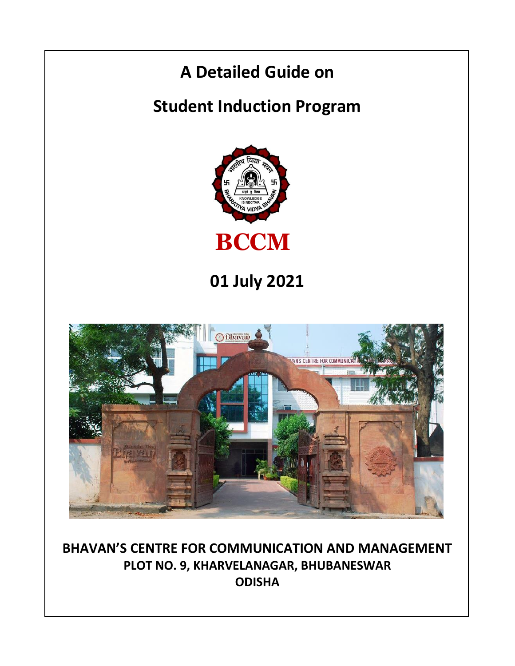

**BHAVAN'S CENTRE FOR COMMUNICATION AND MANAGEMENT PLOT NO. 9, KHARVELANAGAR, BHUBANESWAR ODISHA**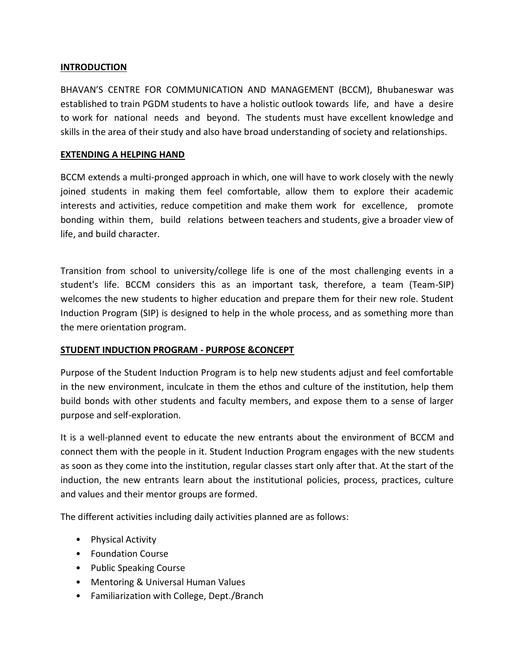### **INTRODUCTION**

BHAVAN'S CENTRE FOR COMMUNICATION AND MANAGEMENT (BCCM), Bhubaneswar was established to train PGDM students to have a holistic outlook towards life, and have a desire to work for national needs and beyond. The students must have excellent knowledge and skills in the area of their study and also have broad understanding of society and relationships.

### **EXTENDING A HELPING HAND**

BCCM extends a multi-pronged approach in which, one will have to work closely with the newly joined students in making them feel comfortable, allow them to explore their academic interests and activities, reduce competition and make them work for excellence, promote bonding within them, build relations between teachers and students, give a broader view of life, and build character.

Transition from school to university/college life is one of the most challenging events in a student's life. BCCM considers this as an important task, therefore, a team (Team-SIP) welcomes the new students to higher education and prepare them for their new role. Student Induction Program (SIP) is designed to help in the whole process, and as something more than the mere orientation program.

## **STUDENT INDUCTION PROGRAM - PURPOSE &CONCEPT**

Purpose of the Student Induction Program is to help new students adjust and feel comfortable in the new environment, inculcate in them the ethos and culture of the institution, help them build bonds with other students and faculty members, and expose them to a sense of larger purpose and self-exploration.

It is a well-planned event to educate the new entrants about the environment of BCCM and connect them with the people in it. Student Induction Program engages with the new students as soon as they come into the institution, regular classes start only after that. At the start of the induction, the new entrants learn about the institutional policies, process, practices, culture and values and their mentor groups are formed.

The different activities including daily activities planned are as follows:

- Physical Activity
- Foundation Course
- Public Speaking Course
- Mentoring & Universal Human Values
- Familiarization with College, Dept./Branch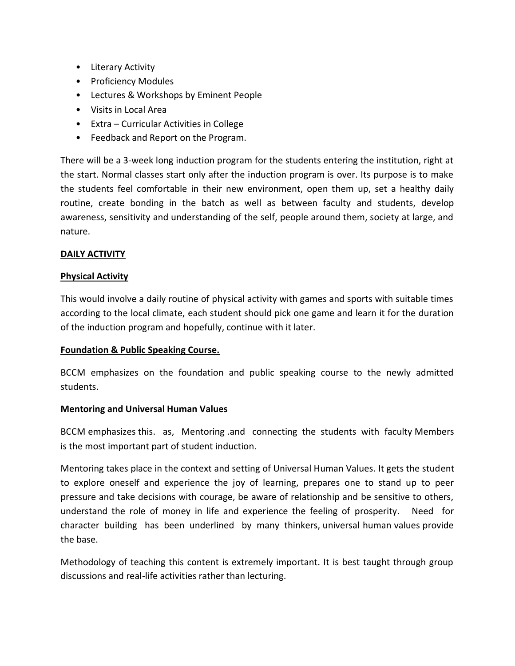- Literary Activity
- Proficiency Modules
- Lectures & Workshops by Eminent People
- Visits in Local Area
- Extra Curricular Activities in College
- Feedback and Report on the Program.

There will be a 3-week long induction program for the students entering the institution, right at the start. Normal classes start only after the induction program is over. Its purpose is to make the students feel comfortable in their new environment, open them up, set a healthy daily routine, create bonding in the batch as well as between faculty and students, develop awareness, sensitivity and understanding of the self, people around them, society at large, and nature.

# **DAILY ACTIVITY**

## **Physical Activity**

This would involve a daily routine of physical activity with games and sports with suitable times according to the local climate, each student should pick one game and learn it for the duration of the induction program and hopefully, continue with it later.

## **Foundation & Public Speaking Course.**

BCCM emphasizes on the foundation and public speaking course to the newly admitted students.

## **Mentoring and Universal Human Values**

BCCM emphasizes this. as, Mentoring .and connecting the students with faculty Members is the most important part of student induction.

Mentoring takes place in the context and setting of Universal Human Values. It gets the student to explore oneself and experience the joy of learning, prepares one to stand up to peer pressure and take decisions with courage, be aware of relationship and be sensitive to others, understand the role of money in life and experience the feeling of prosperity. Need for character building has been underlined by many thinkers, universal human values provide the base.

Methodology of teaching this content is extremely important. It is best taught through group discussions and real-life activities rather than lecturing.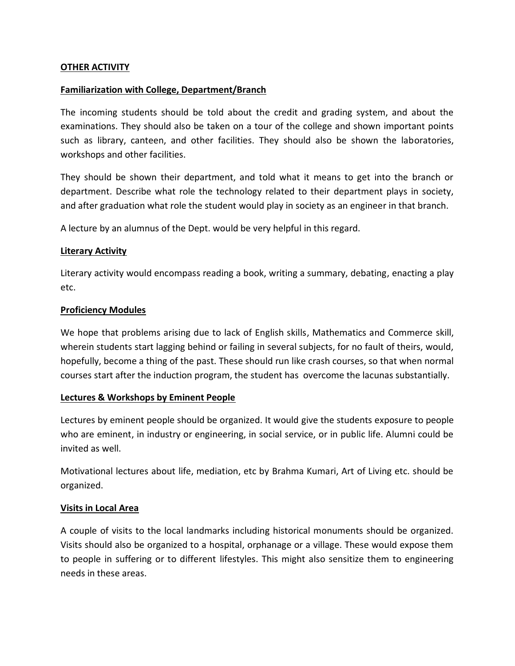### **OTHER ACTIVITY**

### **Familiarization with College, Department/Branch**

The incoming students should be told about the credit and grading system, and about the examinations. They should also be taken on a tour of the college and shown important points such as library, canteen, and other facilities. They should also be shown the laboratories, workshops and other facilities.

They should be shown their department, and told what it means to get into the branch or department. Describe what role the technology related to their department plays in society, and after graduation what role the student would play in society as an engineer in that branch.

A lecture by an alumnus of the Dept. would be very helpful in this regard.

### **Literary Activity**

Literary activity would encompass reading a book, writing a summary, debating, enacting a play etc.

### **Proficiency Modules**

We hope that problems arising due to lack of English skills, Mathematics and Commerce skill, wherein students start lagging behind or failing in several subjects, for no fault of theirs, would, hopefully, become a thing of the past. These should run like crash courses, so that when normal courses start after the induction program, the student has overcome the lacunas substantially.

## **Lectures & Workshops by Eminent People**

Lectures by eminent people should be organized. It would give the students exposure to people who are eminent, in industry or engineering, in social service, or in public life. Alumni could be invited as well.

Motivational lectures about life, mediation, etc by Brahma Kumari, Art of Living etc. should be organized.

## **Visits in Local Area**

A couple of visits to the local landmarks including historical monuments should be organized. Visits should also be organized to a hospital, orphanage or a village. These would expose them to people in suffering or to different lifestyles. This might also sensitize them to engineering needs in these areas.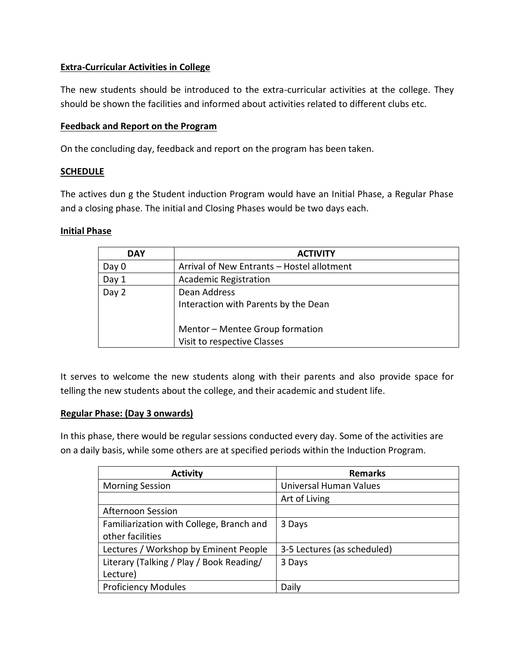# **Extra-Curricular Activities in College**

The new students should be introduced to the extra-curricular activities at the college. They should be shown the facilities and informed about activities related to different clubs etc.

# **Feedback and Report on the Program**

On the concluding day, feedback and report on the program has been taken.

# **SCHEDULE**

The actives dun g the Student induction Program would have an Initial Phase, a Regular Phase and a closing phase. The initial and Closing Phases would be two days each.

# **Initial Phase**

| <b>DAY</b> | <b>ACTIVITY</b>                                                |
|------------|----------------------------------------------------------------|
| Day 0      | Arrival of New Entrants - Hostel allotment                     |
| Day 1      | <b>Academic Registration</b>                                   |
| Day 2      | Dean Address<br>Interaction with Parents by the Dean           |
|            | Mentor - Mentee Group formation<br>Visit to respective Classes |

It serves to welcome the new students along with their parents and also provide space for telling the new students about the college, and their academic and student life.

# **Regular Phase: (Day 3 onwards)**

In this phase, there would be regular sessions conducted every day. Some of the activities are on a daily basis, while some others are at specified periods within the Induction Program.

| <b>Activity</b>                          | <b>Remarks</b>              |
|------------------------------------------|-----------------------------|
| <b>Morning Session</b>                   | Universal Human Values      |
|                                          | Art of Living               |
| Afternoon Session                        |                             |
| Familiarization with College, Branch and | 3 Days                      |
| other facilities                         |                             |
| Lectures / Workshop by Eminent People    | 3-5 Lectures (as scheduled) |
| Literary (Talking / Play / Book Reading/ | 3 Days                      |
| Lecture)                                 |                             |
| <b>Proficiency Modules</b>               | Daily                       |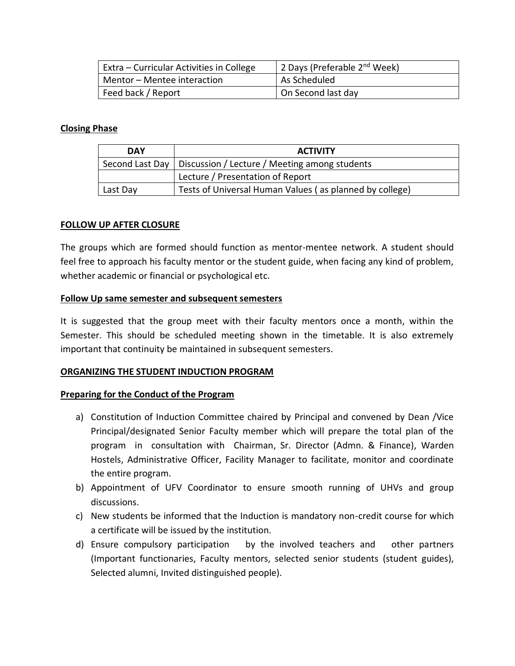| Extra – Curricular Activities in College | 2 Days (Preferable 2 <sup>nd</sup> Week) |
|------------------------------------------|------------------------------------------|
| Mentor - Mentee interaction              | As Scheduled                             |
| Feed back / Report                       | On Second last day                       |

## **Closing Phase**

| <b>DAY</b> | <b>ACTIVITY</b>                                                 |
|------------|-----------------------------------------------------------------|
|            | Second Last Day   Discussion / Lecture / Meeting among students |
|            | Lecture / Presentation of Report                                |
| Last Day   | Tests of Universal Human Values (as planned by college)         |

### **FOLLOW UP AFTER CLOSURE**

The groups which are formed should function as mentor-mentee network. A student should feel free to approach his faculty mentor or the student guide, when facing any kind of problem, whether academic or financial or psychological etc.

#### **Follow Up same semester and subsequent semesters**

It is suggested that the group meet with their faculty mentors once a month, within the Semester. This should be scheduled meeting shown in the timetable. It is also extremely important that continuity be maintained in subsequent semesters.

#### **ORGANIZING THE STUDENT INDUCTION PROGRAM**

#### **Preparing for the Conduct of the Program**

- a) Constitution of Induction Committee chaired by Principal and convened by Dean /Vice Principal/designated Senior Faculty member which will prepare the total plan of the program in consultation with Chairman, Sr. Director (Admn. & Finance), Warden Hostels, Administrative Officer, Facility Manager to facilitate, monitor and coordinate the entire program.
- b) Appointment of UFV Coordinator to ensure smooth running of UHVs and group discussions.
- c) New students be informed that the Induction is mandatory non-credit course for which a certificate will be issued by the institution.
- d) Ensure compulsory participation by the involved teachers and other partners (Important functionaries, Faculty mentors, selected senior students (student guides), Selected alumni, Invited distinguished people).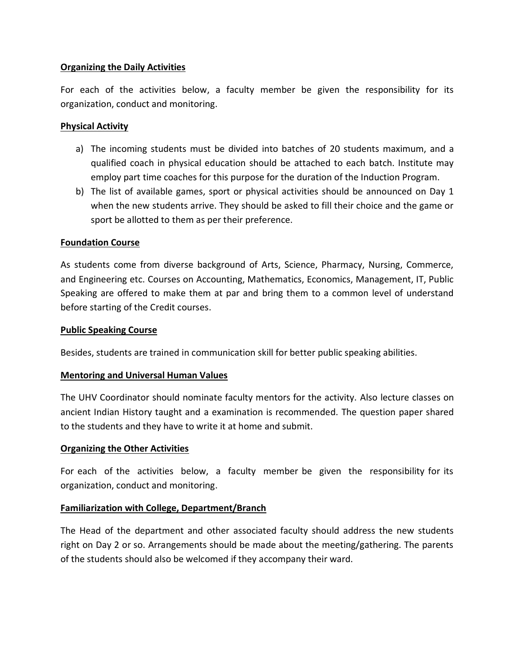# **Organizing the Daily Activities**

For each of the activities below, a faculty member be given the responsibility for its organization, conduct and monitoring.

# **Physical Activity**

- a) The incoming students must be divided into batches of 20 students maximum, and a qualified coach in physical education should be attached to each batch. Institute may employ part time coaches for this purpose for the duration of the Induction Program.
- b) The list of available games, sport or physical activities should be announced on Day 1 when the new students arrive. They should be asked to fill their choice and the game or sport be allotted to them as per their preference.

## **Foundation Course**

As students come from diverse background of Arts, Science, Pharmacy, Nursing, Commerce, and Engineering etc. Courses on Accounting, Mathematics, Economics, Management, IT, Public Speaking are offered to make them at par and bring them to a common level of understand before starting of the Credit courses.

### **Public Speaking Course**

Besides, students are trained in communication skill for better public speaking abilities.

## **Mentoring and Universal Human Values**

The UHV Coordinator should nominate faculty mentors for the activity. Also lecture classes on ancient Indian History taught and a examination is recommended. The question paper shared to the students and they have to write it at home and submit.

## **Organizing the Other Activities**

For each of the activities below, a faculty member be given the responsibility for its organization, conduct and monitoring.

## **Familiarization with College, Department/Branch**

The Head of the department and other associated faculty should address the new students right on Day 2 or so. Arrangements should be made about the meeting/gathering. The parents of the students should also be welcomed if they accompany their ward.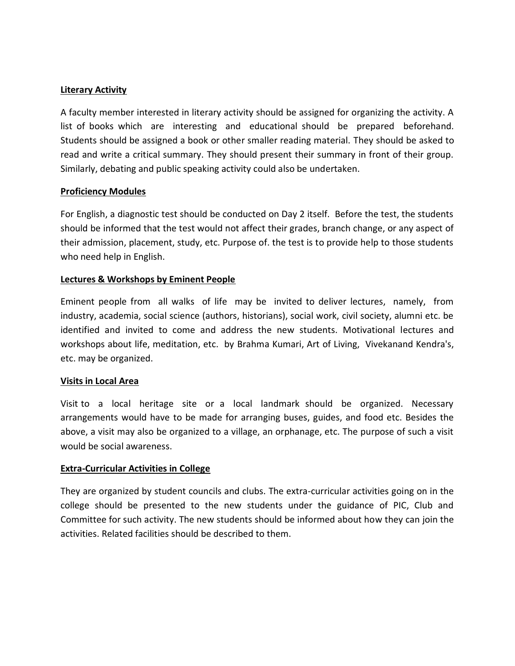## **Literary Activity**

A faculty member interested in literary activity should be assigned for organizing the activity. A list of books which are interesting and educational should be prepared beforehand. Students should be assigned a book or other smaller reading material. They should be asked to read and write a critical summary. They should present their summary in front of their group. Similarly, debating and public speaking activity could also be undertaken.

# **Proficiency Modules**

For English, a diagnostic test should be conducted on Day 2 itself. Before the test, the students should be informed that the test would not affect their grades, branch change, or any aspect of their admission, placement, study, etc. Purpose of. the test is to provide help to those students who need help in English.

# **Lectures & Workshops by Eminent People**

Eminent people from all walks of life may be invited to deliver lectures, namely, from industry, academia, social science (authors, historians), social work, civil society, alumni etc. be identified and invited to come and address the new students. Motivational lectures and workshops about life, meditation, etc. by Brahma Kumari, Art of Living, Vivekanand Kendra's, etc. may be organized.

## **Visits in Local Area**

Visit to a local heritage site or a local landmark should be organized. Necessary arrangements would have to be made for arranging buses, guides, and food etc. Besides the above, a visit may also be organized to a village, an orphanage, etc. The purpose of such a visit would be social awareness.

## **Extra-Curricular Activities in College**

They are organized by student councils and clubs. The extra-curricular activities going on in the college should be presented to the new students under the guidance of PIC, Club and Committee for such activity. The new students should be informed about how they can join the activities. Related facilities should be described to them.